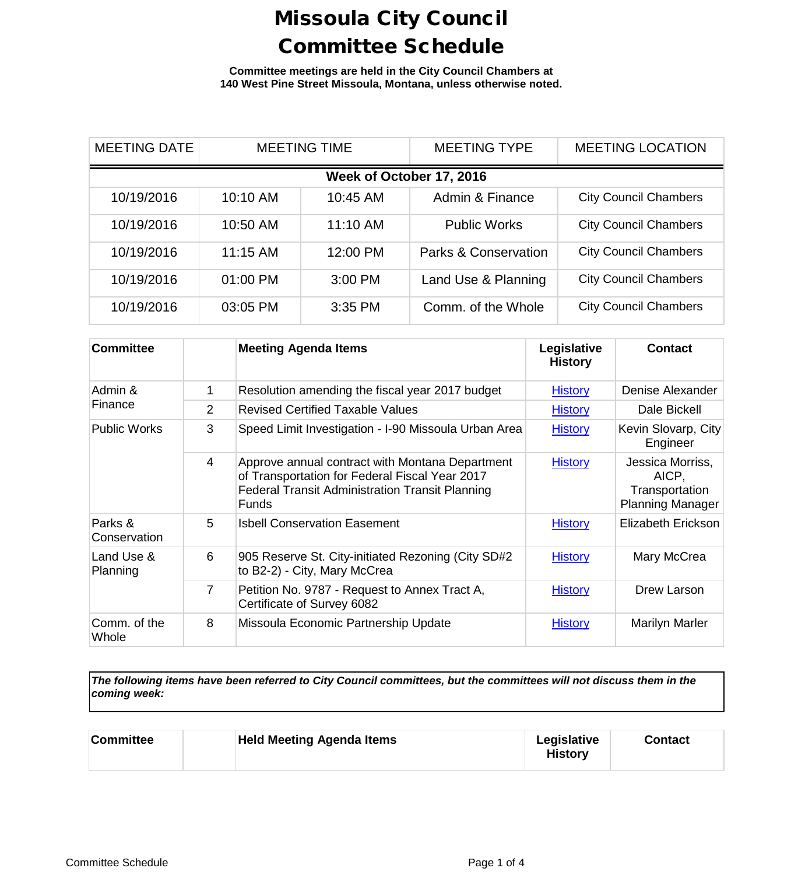**Committee meetings are held in the City Council Chambers at 140 West Pine Street Missoula, Montana, unless otherwise noted.**

| <b>MEETING DATE</b>      | <b>MEETING TIME</b> |          | <b>MEETING TYPE</b>             | <b>MEETING LOCATION</b>      |  |
|--------------------------|---------------------|----------|---------------------------------|------------------------------|--|
| Week of October 17, 2016 |                     |          |                                 |                              |  |
| 10/19/2016               | 10:10 AM            | 10:45 AM | Admin & Finance                 | <b>City Council Chambers</b> |  |
| 10/19/2016               | 10:50 AM            | 11:10 AM | <b>Public Works</b>             | <b>City Council Chambers</b> |  |
| 10/19/2016               | 11:15 AM            | 12:00 PM | <b>Parks &amp; Conservation</b> | <b>City Council Chambers</b> |  |
| 10/19/2016               | 01:00 PM            | 3:00 PM  | Land Use & Planning             | <b>City Council Chambers</b> |  |
| 10/19/2016               | 03:05 PM            | 3:35 PM  | Comm. of the Whole              | <b>City Council Chambers</b> |  |

| <b>Committee</b>        |                | <b>Meeting Agenda Items</b>                                                                                                                                                 | Legislative<br><b>History</b> | <b>Contact</b>                                                         |
|-------------------------|----------------|-----------------------------------------------------------------------------------------------------------------------------------------------------------------------------|-------------------------------|------------------------------------------------------------------------|
| Admin &                 | 1              | Resolution amending the fiscal year 2017 budget                                                                                                                             | <b>History</b>                | Denise Alexander                                                       |
| Finance                 | $\overline{2}$ | <b>Revised Certified Taxable Values</b>                                                                                                                                     | <b>History</b>                | Dale Bickell                                                           |
| <b>Public Works</b>     | 3              | Speed Limit Investigation - I-90 Missoula Urban Area                                                                                                                        | <b>History</b>                | Kevin Slovarp, City<br>Engineer                                        |
|                         | $\overline{4}$ | Approve annual contract with Montana Department<br>of Transportation for Federal Fiscal Year 2017<br><b>Federal Transit Administration Transit Planning</b><br><b>Funds</b> | <b>History</b>                | Jessica Morriss,<br>AICP,<br>Transportation<br><b>Planning Manager</b> |
| Parks &<br>Conservation | 5              | <b>Isbell Conservation Easement</b>                                                                                                                                         | <b>History</b>                | Elizabeth Erickson                                                     |
| Land Use &<br>Planning  | 6              | 905 Reserve St. City-initiated Rezoning (City SD#2<br>to B2-2) - City, Mary McCrea                                                                                          | <b>History</b>                | Mary McCrea                                                            |
|                         | 7              | Petition No. 9787 - Request to Annex Tract A,<br>Certificate of Survey 6082                                                                                                 | <b>History</b>                | Drew Larson                                                            |
| Comm. of the<br>Whole   | 8              | Missoula Economic Partnership Update                                                                                                                                        | <b>History</b>                | <b>Marilyn Marler</b>                                                  |

*The following items have been referred to City Council committees, but the committees will not discuss them in the coming week:*

| <b>Committee</b> | <b>Held Meeting Agenda Items</b> | Legislative<br><b>History</b> | Contact |  |
|------------------|----------------------------------|-------------------------------|---------|--|
|------------------|----------------------------------|-------------------------------|---------|--|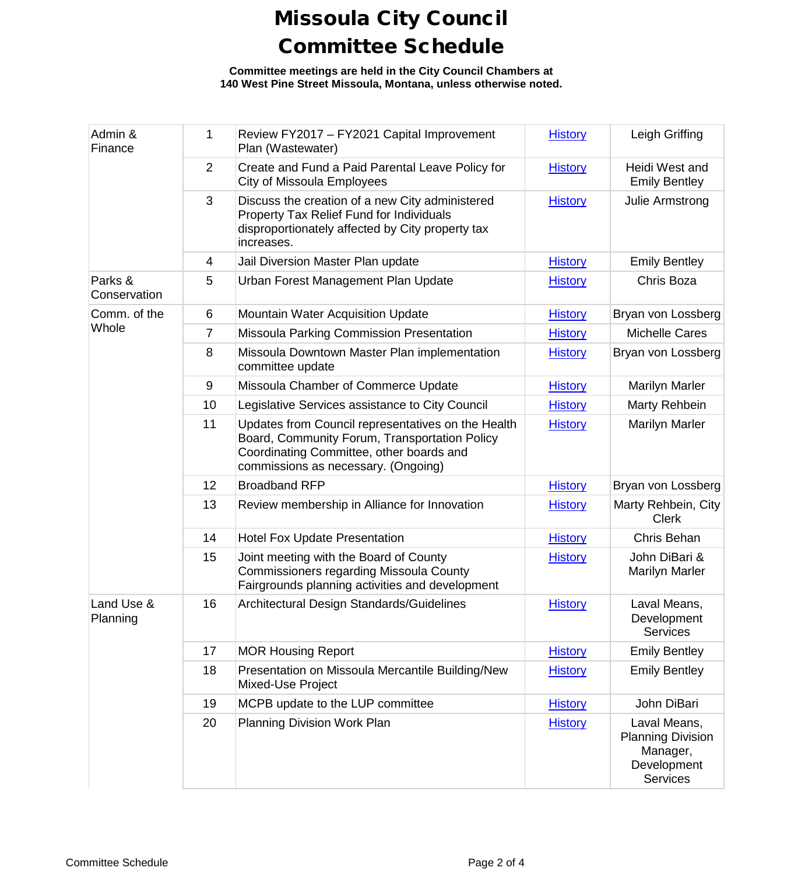**Committee meetings are held in the City Council Chambers at 140 West Pine Street Missoula, Montana, unless otherwise noted.**

| Admin &<br>Finance      | $\mathbf{1}$   | Review FY2017 - FY2021 Capital Improvement<br>Plan (Wastewater)                                                                                                                        | <b>History</b> | Leigh Griffing                                                                         |
|-------------------------|----------------|----------------------------------------------------------------------------------------------------------------------------------------------------------------------------------------|----------------|----------------------------------------------------------------------------------------|
|                         | $\overline{2}$ | Create and Fund a Paid Parental Leave Policy for<br>City of Missoula Employees                                                                                                         | <b>History</b> | Heidi West and<br><b>Emily Bentley</b>                                                 |
|                         | 3              | Discuss the creation of a new City administered<br>Property Tax Relief Fund for Individuals<br>disproportionately affected by City property tax<br>increases.                          | <b>History</b> | Julie Armstrong                                                                        |
|                         | 4              | Jail Diversion Master Plan update                                                                                                                                                      | <b>History</b> | <b>Emily Bentley</b>                                                                   |
| Parks &<br>Conservation | 5              | Urban Forest Management Plan Update                                                                                                                                                    | <b>History</b> | Chris Boza                                                                             |
| Comm. of the            | 6              | Mountain Water Acquisition Update                                                                                                                                                      | <b>History</b> | Bryan von Lossberg                                                                     |
| Whole                   | 7              | Missoula Parking Commission Presentation                                                                                                                                               | <b>History</b> | <b>Michelle Cares</b>                                                                  |
|                         | 8              | Missoula Downtown Master Plan implementation<br>committee update                                                                                                                       | <b>History</b> | Bryan von Lossberg                                                                     |
|                         | 9              | Missoula Chamber of Commerce Update                                                                                                                                                    | <b>History</b> | <b>Marilyn Marler</b>                                                                  |
|                         | 10             | Legislative Services assistance to City Council                                                                                                                                        | <b>History</b> | Marty Rehbein                                                                          |
|                         | 11             | Updates from Council representatives on the Health<br>Board, Community Forum, Transportation Policy<br>Coordinating Committee, other boards and<br>commissions as necessary. (Ongoing) | <b>History</b> | <b>Marilyn Marler</b>                                                                  |
|                         | 12             | <b>Broadband RFP</b>                                                                                                                                                                   | <b>History</b> | Bryan von Lossberg                                                                     |
|                         | 13             | Review membership in Alliance for Innovation                                                                                                                                           | <b>History</b> | Marty Rehbein, City<br><b>Clerk</b>                                                    |
|                         | 14             | <b>Hotel Fox Update Presentation</b>                                                                                                                                                   | <b>History</b> | Chris Behan                                                                            |
|                         | 15             | Joint meeting with the Board of County<br>Commissioners regarding Missoula County<br>Fairgrounds planning activities and development                                                   | <b>History</b> | John DiBari &<br><b>Marilyn Marler</b>                                                 |
| Land Use &<br>Planning  | 16             | Architectural Design Standards/Guidelines                                                                                                                                              | <b>History</b> | Laval Means,<br>Development<br><b>Services</b>                                         |
|                         | 17             | <b>MOR Housing Report</b>                                                                                                                                                              | <b>History</b> | <b>Emily Bentley</b>                                                                   |
|                         | 18             | Presentation on Missoula Mercantile Building/New<br>Mixed-Use Project                                                                                                                  | <b>History</b> | <b>Emily Bentley</b>                                                                   |
|                         | 19             | MCPB update to the LUP committee                                                                                                                                                       | <b>History</b> | John DiBari                                                                            |
|                         | 20             | Planning Division Work Plan                                                                                                                                                            | <b>History</b> | Laval Means,<br><b>Planning Division</b><br>Manager,<br>Development<br><b>Services</b> |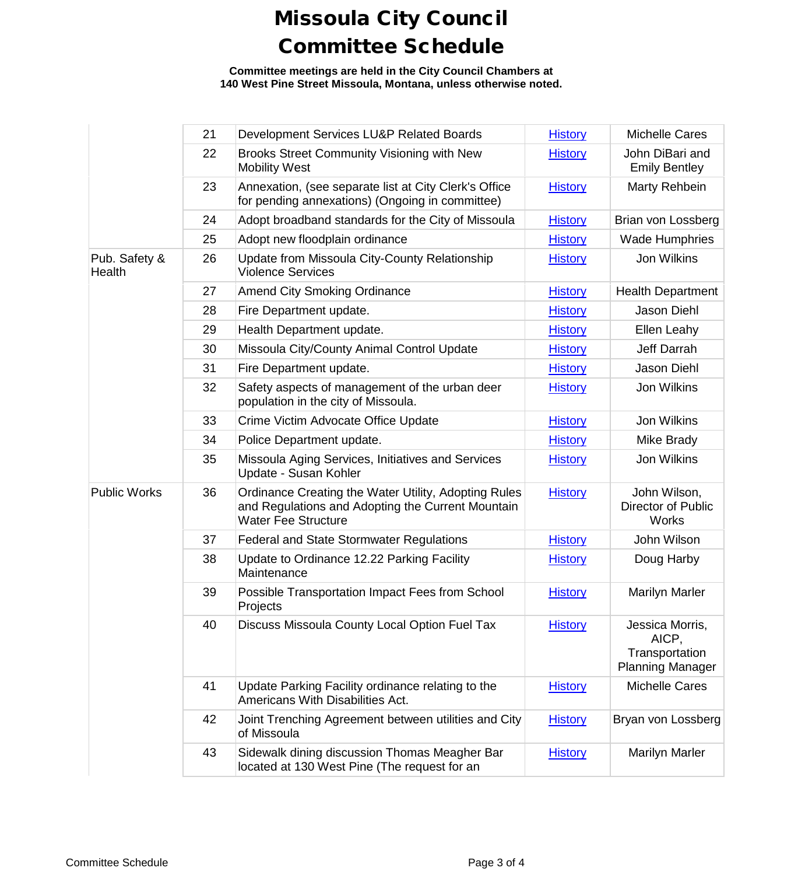**Committee meetings are held in the City Council Chambers at 140 West Pine Street Missoula, Montana, unless otherwise noted.**

|                         | 21 | Development Services LU&P Related Boards                                                                                                | <b>History</b> | <b>Michelle Cares</b>                                                 |
|-------------------------|----|-----------------------------------------------------------------------------------------------------------------------------------------|----------------|-----------------------------------------------------------------------|
|                         | 22 | Brooks Street Community Visioning with New<br><b>Mobility West</b>                                                                      | <b>History</b> | John DiBari and<br><b>Emily Bentley</b>                               |
|                         | 23 | Annexation, (see separate list at City Clerk's Office<br>for pending annexations) (Ongoing in committee)                                | <b>History</b> | Marty Rehbein                                                         |
|                         | 24 | Adopt broadband standards for the City of Missoula                                                                                      | <b>History</b> | Brian von Lossberg                                                    |
|                         | 25 | Adopt new floodplain ordinance                                                                                                          | <b>History</b> | <b>Wade Humphries</b>                                                 |
| Pub. Safety &<br>Health | 26 | Update from Missoula City-County Relationship<br><b>Violence Services</b>                                                               | <b>History</b> | Jon Wilkins                                                           |
|                         | 27 | <b>Amend City Smoking Ordinance</b>                                                                                                     | <b>History</b> | <b>Health Department</b>                                              |
|                         | 28 | Fire Department update.                                                                                                                 | <b>History</b> | Jason Diehl                                                           |
|                         | 29 | Health Department update.                                                                                                               | <b>History</b> | Ellen Leahy                                                           |
|                         | 30 | Missoula City/County Animal Control Update                                                                                              | <b>History</b> | Jeff Darrah                                                           |
|                         | 31 | Fire Department update.                                                                                                                 | <b>History</b> | Jason Diehl                                                           |
|                         | 32 | Safety aspects of management of the urban deer<br>population in the city of Missoula.                                                   | <b>History</b> | Jon Wilkins                                                           |
|                         | 33 | Crime Victim Advocate Office Update                                                                                                     | <b>History</b> | Jon Wilkins                                                           |
|                         | 34 | Police Department update.                                                                                                               | <b>History</b> | Mike Brady                                                            |
|                         | 35 | Missoula Aging Services, Initiatives and Services<br>Update - Susan Kohler                                                              | <b>History</b> | Jon Wilkins                                                           |
| <b>Public Works</b>     | 36 | Ordinance Creating the Water Utility, Adopting Rules<br>and Regulations and Adopting the Current Mountain<br><b>Water Fee Structure</b> | <b>History</b> | John Wilson,<br>Director of Public<br><b>Works</b>                    |
|                         | 37 | <b>Federal and State Stormwater Regulations</b>                                                                                         | <b>History</b> | John Wilson                                                           |
|                         | 38 | Update to Ordinance 12.22 Parking Facility<br>Maintenance                                                                               | <b>History</b> | Doug Harby                                                            |
|                         | 39 | Possible Transportation Impact Fees from School<br>Projects                                                                             | <b>History</b> | <b>Marilyn Marler</b>                                                 |
|                         | 40 | Discuss Missoula County Local Option Fuel Tax                                                                                           | <b>History</b> | Jessica Morris,<br>AICP,<br>Transportation<br><b>Planning Manager</b> |
|                         | 41 | Update Parking Facility ordinance relating to the<br>Americans With Disabilities Act.                                                   | <b>History</b> | <b>Michelle Cares</b>                                                 |
|                         | 42 | Joint Trenching Agreement between utilities and City<br>of Missoula                                                                     | <b>History</b> | Bryan von Lossberg                                                    |
|                         | 43 | Sidewalk dining discussion Thomas Meagher Bar<br>located at 130 West Pine (The request for an                                           | <b>History</b> | <b>Marilyn Marler</b>                                                 |
|                         |    |                                                                                                                                         |                |                                                                       |